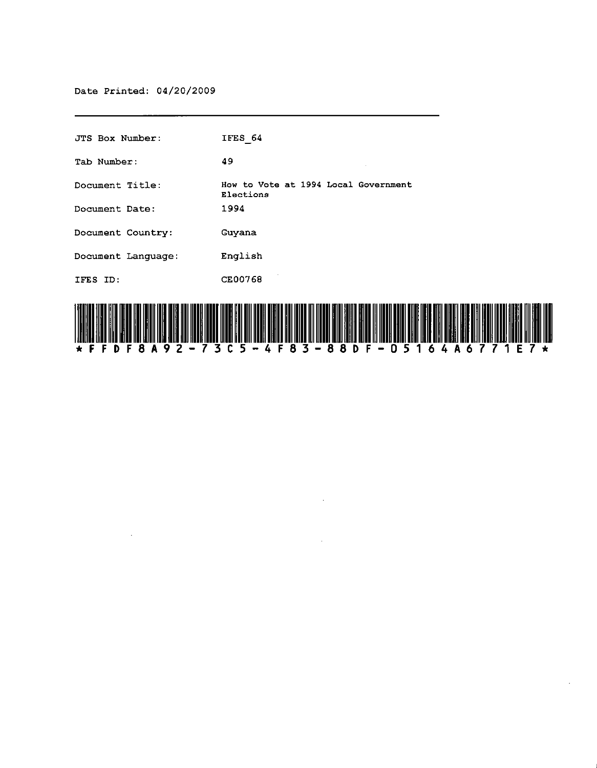$\sim$ 

| JTS Box Number:    | IFES 64                                           |
|--------------------|---------------------------------------------------|
| Tab Number:        | 49                                                |
| Document Title:    | How to Vote at 1994 Local Government<br>Elections |
| Document Date:     | 1994                                              |
| Document Country:  | Guyana                                            |
| Document Language: | English                                           |
| IFES ID:           | CE00768                                           |
|                    |                                                   |



 $\sim$ 

 $\sim$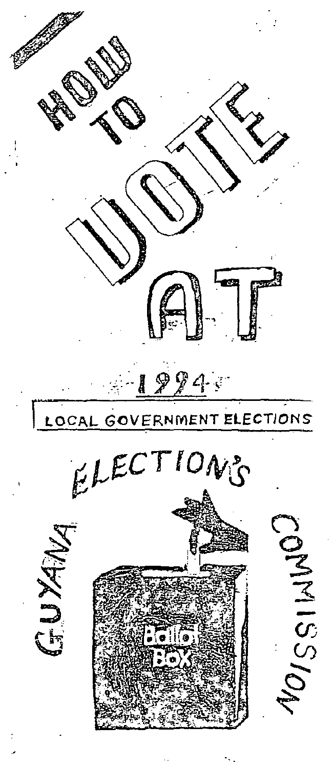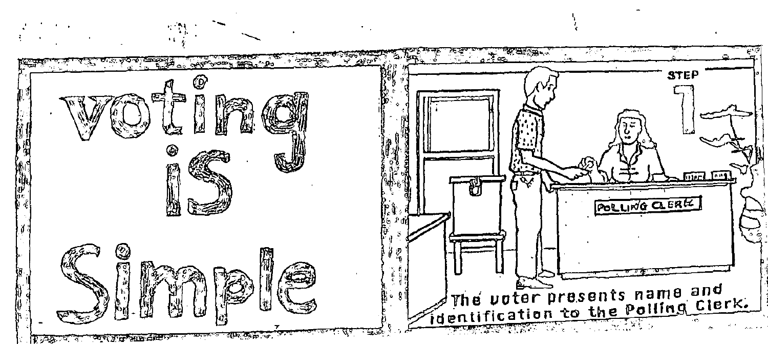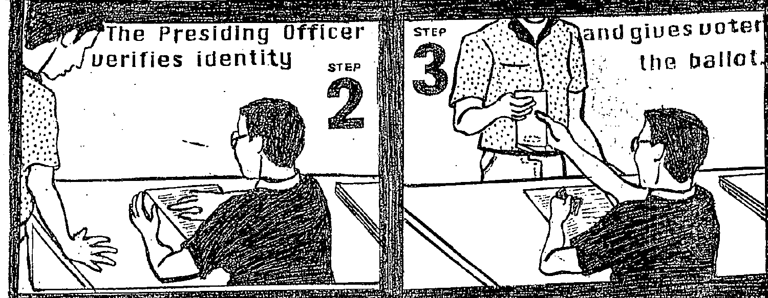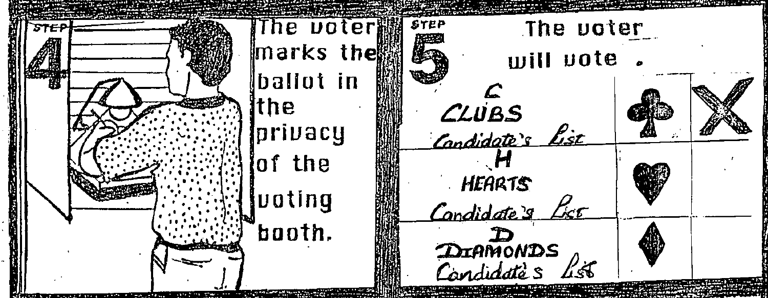The unterlief STEP The uoter marks the B will note ballot in the CLUBS<br>Candidate's List *Iprivacy* of the **HEARTS** *<u>fuoting</u>* Condidate 3 Pro booth. DIAMONDS<br>Condidates List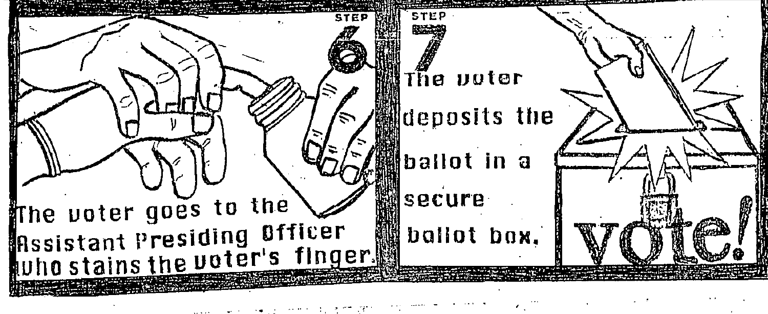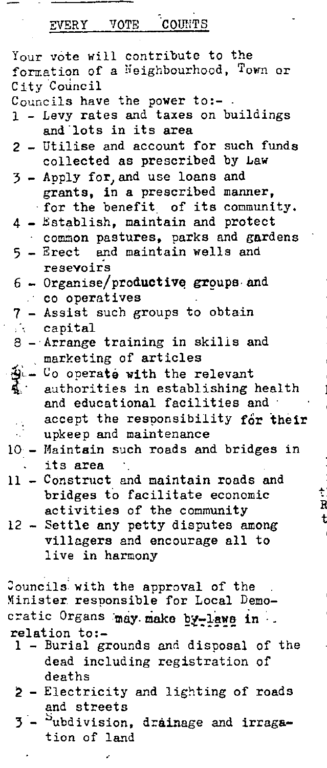COUNTS EVERY VOTE

| Your vote will contribute to the                                                                          |  |
|-----------------------------------------------------------------------------------------------------------|--|
| formation of a Neighbourhood, Town or                                                                     |  |
| City Council                                                                                              |  |
| Councils have the power to:-.                                                                             |  |
| 1 - Levy rates and taxes on buildings                                                                     |  |
| and lots in its area                                                                                      |  |
| 2 - Utilise and account for such funds                                                                    |  |
| collected as prescribed by Law                                                                            |  |
|                                                                                                           |  |
| 3 - Apply for, and use loans and                                                                          |  |
| grants, in a prescribed manner,                                                                           |  |
| for the benefit of its community.                                                                         |  |
| 4 - Establish, maintain and protect                                                                       |  |
| common pastures, parks and gardens                                                                        |  |
| 5 - Erect and maintain wells and                                                                          |  |
| resevoirs                                                                                                 |  |
| 6 - Organise/productive groups and                                                                        |  |
| co operatives                                                                                             |  |
| 7 - Assist such groups to obtain                                                                          |  |
| . capital                                                                                                 |  |
| 8 - Arrange training in skills and                                                                        |  |
| marketing of articles<br>$\hat{B}$ - Co operate with the relevant<br>d authorities in establishing health |  |
|                                                                                                           |  |
|                                                                                                           |  |
| and educational facilities and                                                                            |  |
| accept the responsibility for their                                                                       |  |
| upkeep and maintenance                                                                                    |  |
| 10 - Maintain such roads and bridges in                                                                   |  |
| its area                                                                                                  |  |
| 11 - Construct and maintain roads and                                                                     |  |
| bridges to facilitate economic                                                                            |  |
| activities of the community                                                                               |  |
| 12 - Settle any petty disputes among                                                                      |  |
|                                                                                                           |  |
| villagers and encourage all to                                                                            |  |
| live in harmony                                                                                           |  |
|                                                                                                           |  |
| Councils with the approval of the                                                                         |  |
| Minister responsible for Local Demo-                                                                      |  |
| cratic Organs may make by-laws in.                                                                        |  |
| relation to:-<br>the contract of the contract of the contract of the contract of the contract of          |  |

 $\frac{1}{1}$ ŧ

- 1 Burial grounds and disposal of the dead including registration of deaths
- 2 Electricity and lighting of roads and streets
- 3 <sup>S</sup>ubdivision, drainage and irragation of land

ż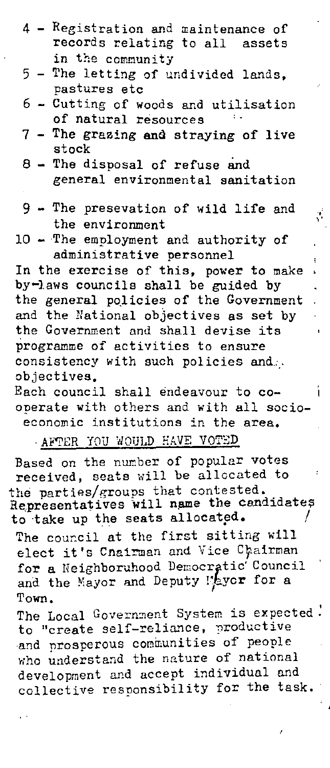- 4 Registration and maintenance of<br>records relating to all assets in the community
- 5 The letting of undivided lands, pastures etc
- 6 Cutting of woods and utilisation of natural resources
- 7 The grazing and straying of live stock
- $8$  The disposal of refuse and general environmental sanitation
- 9 The presevation of wild life and the environment

Â,

ì

10 - The employment and authority of administrative personnel

In the exercise of this, power to make by-laws councils shall be guided by the general policies of the Government and the National objectives as set by the Government and shall devise its programme of activities to ensure consistency with such policies and... objectives.

Each council shall endeavour to cooperate with others and with all socioeconomic institutions in the area.

AFTER YOU WOULD HAVE VOTED

Based on the number of popular votes received, seats will be allocated to the parties/groups that contested.<br>Representatives will name the candidates<br>to take up the seats allocated.

The council at the first sitting will elect it's Cnairman and Vice Chairman for a Neighboruhood Democratic Council and the Mayor and Deputy Mayor for a Town.

The Local Government System is expected. to "create self-reliance, productive and prosperous communities of people who understand the nature of national development and accept individual and collective responsibility for the task.